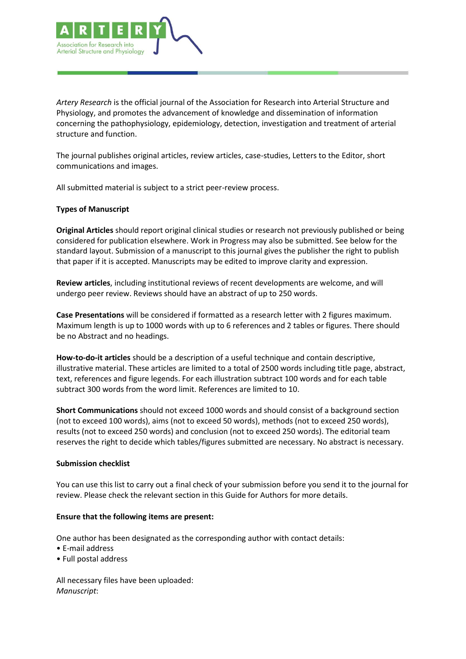

*Artery Research* is the official journal of the Association for Research into Arterial Structure and Physiology, and promotes the advancement of knowledge and dissemination of information concerning the pathophysiology, epidemiology, detection, investigation and treatment of arterial structure and function.

The journal publishes original articles, review articles, case-studies, Letters to the Editor, short communications and images.

All submitted material is subject to a strict peer-review process.

### **Types of Manuscript**

**Original Articles** should report original clinical studies or research not previously published or being considered for publication elsewhere. Work in Progress may also be submitted. See below for the standard layout. Submission of a manuscript to this journal gives the publisher the right to publish that paper if it is accepted. Manuscripts may be edited to improve clarity and expression.

**Review articles**, including institutional reviews of recent developments are welcome, and will undergo peer review. Reviews should have an abstract of up to 250 words.

**Case Presentations** will be considered if formatted as a research letter with 2 figures maximum. Maximum length is up to 1000 words with up to 6 references and 2 tables or figures. There should be no Abstract and no headings.

**How-to-do-it articles** should be a description of a useful technique and contain descriptive, illustrative material. These articles are limited to a total of 2500 words including title page, abstract, text, references and figure legends. For each illustration subtract 100 words and for each table subtract 300 words from the word limit. References are limited to 10.

**Short Communications** should not exceed 1000 words and should consist of a background section (not to exceed 100 words), aims (not to exceed 50 words), methods (not to exceed 250 words), results (not to exceed 250 words) and conclusion (not to exceed 250 words). The editorial team reserves the right to decide which tables/figures submitted are necessary. No abstract is necessary.

### **Submission checklist**

You can use this list to carry out a final check of your submission before you send it to the journal for review. Please check the relevant section in this Guide for Authors for more details.

#### **Ensure that the following items are present:**

One author has been designated as the corresponding author with contact details:

- E-mail address
- Full postal address

All necessary files have been uploaded: *Manuscript*: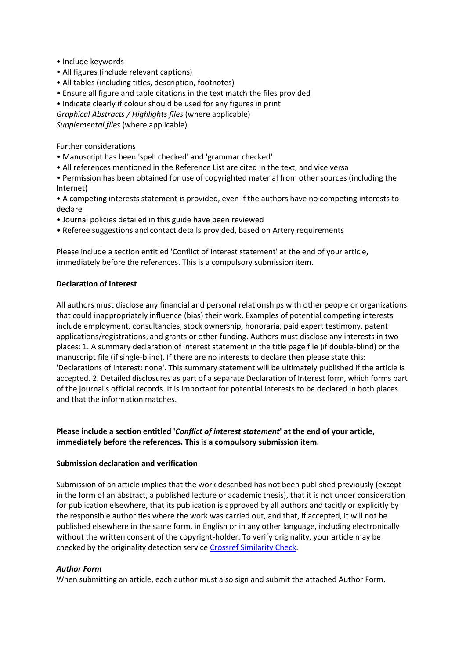- Include keywords
- All figures (include relevant captions)
- All tables (including titles, description, footnotes)
- Ensure all figure and table citations in the text match the files provided

• Indicate clearly if colour should be used for any figures in print

*Graphical Abstracts / Highlights files* (where applicable)

*Supplemental files* (where applicable)

Further considerations

- Manuscript has been 'spell checked' and 'grammar checked'
- All references mentioned in the Reference List are cited in the text, and vice versa
- Permission has been obtained for use of copyrighted material from other sources (including the Internet)

• A competing interests statement is provided, even if the authors have no competing interests to declare

- Journal policies detailed in this guide have been reviewed
- Referee suggestions and contact details provided, based on Artery requirements

Please include a section entitled 'Conflict of interest statement' at the end of your article, immediately before the references. This is a compulsory submission item.

## **Declaration of interest**

All authors must disclose any financial and personal relationships with other people or organizations that could inappropriately influence (bias) their work. Examples of potential competing interests include employment, consultancies, stock ownership, honoraria, paid expert testimony, patent applications/registrations, and grants or other funding. Authors must disclose any interests in two places: 1. A summary declaration of interest statement in the title page file (if double-blind) or the manuscript file (if single-blind). If there are no interests to declare then please state this: 'Declarations of interest: none'. This summary statement will be ultimately published if the article is accepted. 2. Detailed disclosures as part of a separate Declaration of Interest form, which forms part of the journal's official records. It is important for potential interests to be declared in both places and that the information matches.

# **Please include a section entitled '***Conflict of interest statement***' at the end of your article, immediately before the references. This is a compulsory submission item.**

### **Submission declaration and verification**

Submission of an article implies that the work described has not been published previously (except in the form of an abstract, a published lecture or academic thesis), that it is not under consideration for publication elsewhere, that its publication is approved by all authors and tacitly or explicitly by the responsible authorities where the work was carried out, and that, if accepted, it will not be published elsewhere in the same form, in English or in any other language, including electronically without the written consent of the copyright-holder. To verify originality, your article may be checked by the originality detection service [Crossref Similarity Check.](https://www.elsevier.com/editors/perk/plagiarism-complaints/plagiarism-detection)

### *Author Form*

When submitting an article, each author must also sign and submit the attached Author Form.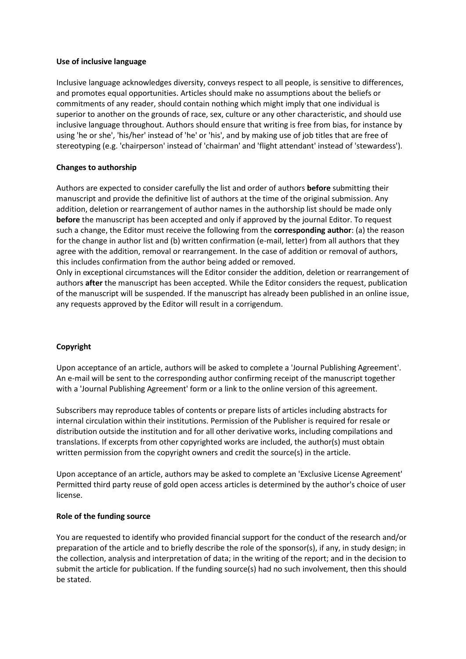#### **Use of inclusive language**

Inclusive language acknowledges diversity, conveys respect to all people, is sensitive to differences, and promotes equal opportunities. Articles should make no assumptions about the beliefs or commitments of any reader, should contain nothing which might imply that one individual is superior to another on the grounds of race, sex, culture or any other characteristic, and should use inclusive language throughout. Authors should ensure that writing is free from bias, for instance by using 'he or she', 'his/her' instead of 'he' or 'his', and by making use of job titles that are free of stereotyping (e.g. 'chairperson' instead of 'chairman' and 'flight attendant' instead of 'stewardess').

## **Changes to authorship**

Authors are expected to consider carefully the list and order of authors **before** submitting their manuscript and provide the definitive list of authors at the time of the original submission. Any addition, deletion or rearrangement of author names in the authorship list should be made only **before** the manuscript has been accepted and only if approved by the journal Editor. To request such a change, the Editor must receive the following from the **corresponding author**: (a) the reason for the change in author list and (b) written confirmation (e-mail, letter) from all authors that they agree with the addition, removal or rearrangement. In the case of addition or removal of authors, this includes confirmation from the author being added or removed.

Only in exceptional circumstances will the Editor consider the addition, deletion or rearrangement of authors **after** the manuscript has been accepted. While the Editor considers the request, publication of the manuscript will be suspended. If the manuscript has already been published in an online issue, any requests approved by the Editor will result in a corrigendum.

### **Copyright**

Upon acceptance of an article, authors will be asked to complete a 'Journal Publishing Agreement'. An e-mail will be sent to the corresponding author confirming receipt of the manuscript together with a 'Journal Publishing Agreement' form or a link to the online version of this agreement.

Subscribers may reproduce tables of contents or prepare lists of articles including abstracts for internal circulation within their institutions. Permission of the Publisher is required for resale or distribution outside the institution and for all other derivative works, including compilations and translations. If excerpts from other copyrighted works are included, the author(s) must obtain written permission from the copyright owners and credit the source(s) in the article.

Upon acceptance of an article, authors may be asked to complete an 'Exclusive License Agreement' Permitted third party reuse of gold open access articles is determined by the author's choice of user license.

### **Role of the funding source**

You are requested to identify who provided financial support for the conduct of the research and/or preparation of the article and to briefly describe the role of the sponsor(s), if any, in study design; in the collection, analysis and interpretation of data; in the writing of the report; and in the decision to submit the article for publication. If the funding source(s) had no such involvement, then this should be stated.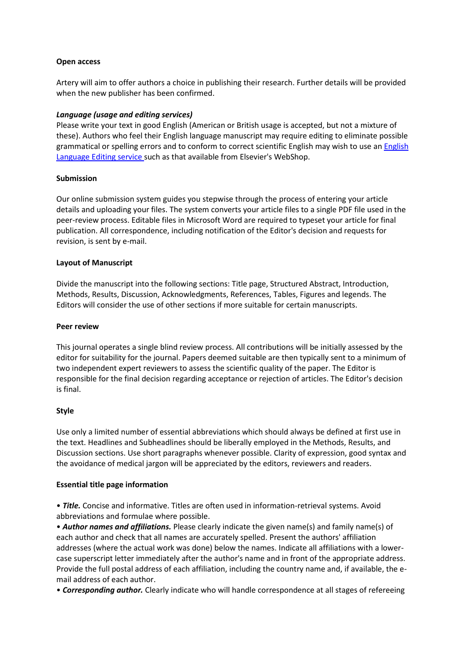## **Open access**

Artery will aim to offer authors a choice in publishing their research. Further details will be provided when the new publisher has been confirmed.

## *Language (usage and editing services)*

Please write your text in good English (American or British usage is accepted, but not a mixture of these). Authors who feel their English language manuscript may require editing to eliminate possible grammatical or spelling errors and to conform to correct scientific English may wish to use an [English](http://webshop.elsevier.com/languageediting/)  [Language Editing service](http://webshop.elsevier.com/languageediting/) such as that available from Elsevier's WebShop.

### **Submission**

Our online submission system guides you stepwise through the process of entering your article details and uploading your files. The system converts your article files to a single PDF file used in the peer-review process. Editable files in Microsoft Word are required to typeset your article for final publication. All correspondence, including notification of the Editor's decision and requests for revision, is sent by e-mail.

### **Layout of Manuscript**

Divide the manuscript into the following sections: Title page, Structured Abstract, Introduction, Methods, Results, Discussion, Acknowledgments, References, Tables, Figures and legends. The Editors will consider the use of other sections if more suitable for certain manuscripts.

#### **Peer review**

This journal operates a single blind review process. All contributions will be initially assessed by the editor for suitability for the journal. Papers deemed suitable are then typically sent to a minimum of two independent expert reviewers to assess the scientific quality of the paper. The Editor is responsible for the final decision regarding acceptance or rejection of articles. The Editor's decision is final.

### **Style**

Use only a limited number of essential abbreviations which should always be defined at first use in the text. Headlines and Subheadlines should be liberally employed in the Methods, Results, and Discussion sections. Use short paragraphs whenever possible. Clarity of expression, good syntax and the avoidance of medical jargon will be appreciated by the editors, reviewers and readers.

### **Essential title page information**

• *Title.* Concise and informative. Titles are often used in information-retrieval systems. Avoid abbreviations and formulae where possible.

• *Author names and affiliations.* Please clearly indicate the given name(s) and family name(s) of each author and check that all names are accurately spelled. Present the authors' affiliation addresses (where the actual work was done) below the names. Indicate all affiliations with a lowercase superscript letter immediately after the author's name and in front of the appropriate address. Provide the full postal address of each affiliation, including the country name and, if available, the email address of each author.

• *Corresponding author.* Clearly indicate who will handle correspondence at all stages of refereeing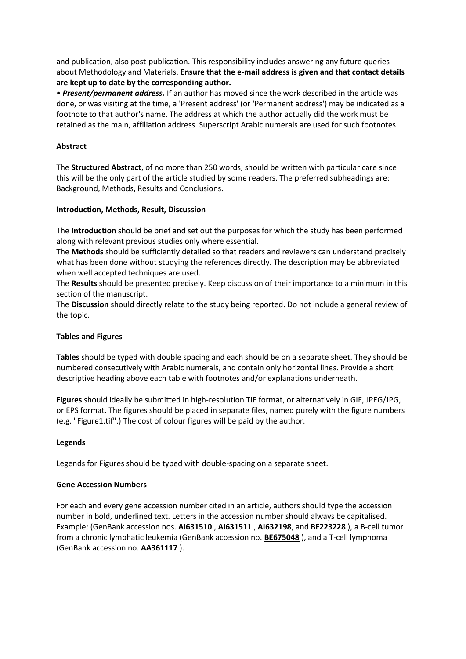and publication, also post-publication. This responsibility includes answering any future queries about Methodology and Materials. **Ensure that the e-mail address is given and that contact details are kept up to date by the corresponding author.**

• *Present/permanent address.* If an author has moved since the work described in the article was done, or was visiting at the time, a 'Present address' (or 'Permanent address') may be indicated as a footnote to that author's name. The address at which the author actually did the work must be retained as the main, affiliation address. Superscript Arabic numerals are used for such footnotes.

## **Abstract**

The **Structured Abstract**, of no more than 250 words, should be written with particular care since this will be the only part of the article studied by some readers. The preferred subheadings are: Background, Methods, Results and Conclusions.

### **Introduction, Methods, Result, Discussion**

The **Introduction** should be brief and set out the purposes for which the study has been performed along with relevant previous studies only where essential.

The **Methods** should be sufficiently detailed so that readers and reviewers can understand precisely what has been done without studying the references directly. The description may be abbreviated when well accepted techniques are used.

The **Results** should be presented precisely. Keep discussion of their importance to a minimum in this section of the manuscript.

The **Discussion** should directly relate to the study being reported. Do not include a general review of the topic.

### **Tables and Figures**

**Tables** should be typed with double spacing and each should be on a separate sheet. They should be numbered consecutively with Arabic numerals, and contain only horizontal lines. Provide a short descriptive heading above each table with footnotes and/or explanations underneath.

**Figures** should ideally be submitted in high-resolution TIF format, or alternatively in GIF, JPEG/JPG, or EPS format. The figures should be placed in separate files, named purely with the figure numbers (e.g. "Figure1.tif".) The cost of colour figures will be paid by the author.

### **Legends**

Legends for Figures should be typed with double-spacing on a separate sheet.

### **Gene Accession Numbers**

For each and every gene accession number cited in an article, authors should type the accession number in bold, underlined text. Letters in the accession number should always be capitalised. Example: (GenBank accession nos. **AI631510** , **AI631511** , **AI632198**, and **BF223228** ), a B-cell tumor from a chronic lymphatic leukemia (GenBank accession no. **BE675048** ), and a T-cell lymphoma (GenBank accession no. **AA361117** ).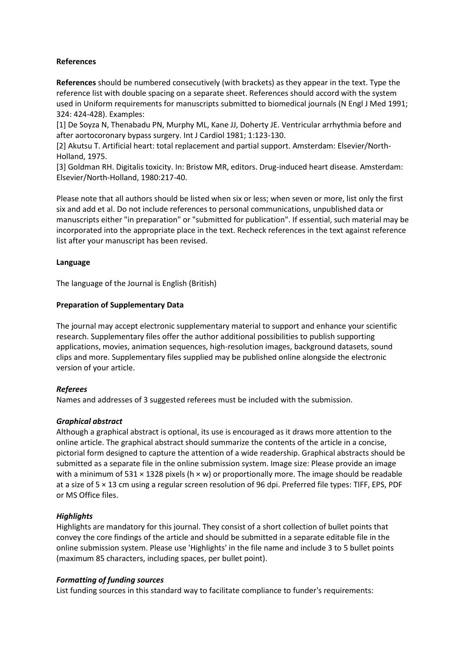## **References**

**References** should be numbered consecutively (with brackets) as they appear in the text. Type the reference list with double spacing on a separate sheet. References should accord with the system used in Uniform requirements for manuscripts submitted to biomedical journals (N Engl J Med 1991; 324: 424-428). Examples:

[1] De Soyza N, Thenabadu PN, Murphy ML, Kane JJ, Doherty JE. Ventricular arrhythmia before and after aortocoronary bypass surgery. Int J Cardiol 1981; 1:123-130.

[2] Akutsu T. Artificial heart: total replacement and partial support. Amsterdam: Elsevier/North-Holland, 1975.

[3] Goldman RH. Digitalis toxicity. In: Bristow MR, editors. Drug-induced heart disease. Amsterdam: Elsevier/North-Holland, 1980:217-40.

Please note that all authors should be listed when six or less; when seven or more, list only the first six and add et al. Do not include references to personal communications, unpublished data or manuscripts either "in preparation" or "submitted for publication". If essential, such material may be incorporated into the appropriate place in the text. Recheck references in the text against reference list after your manuscript has been revised.

### **Language**

The language of the Journal is English (British)

## **Preparation of Supplementary Data**

The journal may accept electronic supplementary material to support and enhance your scientific research. Supplementary files offer the author additional possibilities to publish supporting applications, movies, animation sequences, high-resolution images, background datasets, sound clips and more. Supplementary files supplied may be published online alongside the electronic version of your article.

### *Referees*

Names and addresses of 3 suggested referees must be included with the submission.

### *Graphical abstract*

Although a graphical abstract is optional, its use is encouraged as it draws more attention to the online article. The graphical abstract should summarize the contents of the article in a concise, pictorial form designed to capture the attention of a wide readership. Graphical abstracts should be submitted as a separate file in the online submission system. Image size: Please provide an image with a minimum of 531  $\times$  1328 pixels (h  $\times$  w) or proportionally more. The image should be readable at a size of 5 × 13 cm using a regular screen resolution of 96 dpi. Preferred file types: TIFF, EPS, PDF or MS Office files.

# *Highlights*

Highlights are mandatory for this journal. They consist of a short collection of bullet points that convey the core findings of the article and should be submitted in a separate editable file in the online submission system. Please use 'Highlights' in the file name and include 3 to 5 bullet points (maximum 85 characters, including spaces, per bullet point).

### *Formatting of funding sources*

List funding sources in this standard way to facilitate compliance to funder's requirements: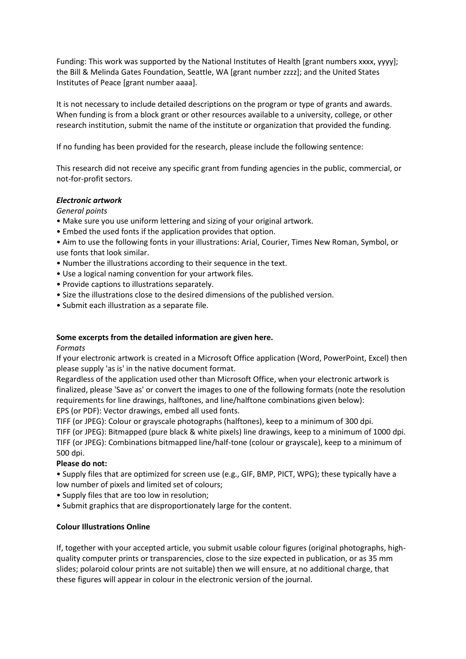Funding: This work was supported by the National Institutes of Health [grant numbers xxxx, yyyy]; the Bill & Melinda Gates Foundation, Seattle, WA [grant number zzzz]; and the United States Institutes of Peace [grant number aaaa].

It is not necessary to include detailed descriptions on the program or type of grants and awards. When funding is from a block grant or other resources available to a university, college, or other research institution, submit the name of the institute or organization that provided the funding.

If no funding has been provided for the research, please include the following sentence:

This research did not receive any specific grant from funding agencies in the public, commercial, or not-for-profit sectors.

## *Electronic artwork*

*General points*

- Make sure you use uniform lettering and sizing of your original artwork.
- Embed the used fonts if the application provides that option.
- Aim to use the following fonts in your illustrations: Arial, Courier, Times New Roman, Symbol, or use fonts that look similar.
- Number the illustrations according to their sequence in the text.
- Use a logical naming convention for your artwork files.
- Provide captions to illustrations separately.
- Size the illustrations close to the desired dimensions of the published version.
- Submit each illustration as a separate file.

### **Some excerpts from the detailed information are given here.**

*Formats*

If your electronic artwork is created in a Microsoft Office application (Word, PowerPoint, Excel) then please supply 'as is' in the native document format.

Regardless of the application used other than Microsoft Office, when your electronic artwork is finalized, please 'Save as' or convert the images to one of the following formats (note the resolution requirements for line drawings, halftones, and line/halftone combinations given below): EPS (or PDF): Vector drawings, embed all used fonts.

TIFF (or JPEG): Colour or grayscale photographs (halftones), keep to a minimum of 300 dpi.

TIFF (or JPEG): Bitmapped (pure black & white pixels) line drawings, keep to a minimum of 1000 dpi. TIFF (or JPEG): Combinations bitmapped line/half-tone (colour or grayscale), keep to a minimum of 500 dpi.

# **Please do not:**

• Supply files that are optimized for screen use (e.g., GIF, BMP, PICT, WPG); these typically have a low number of pixels and limited set of colours;

- Supply files that are too low in resolution;
- Submit graphics that are disproportionately large for the content.

### **Colour Illustrations Online**

If, together with your accepted article, you submit usable colour figures (original photographs, highquality computer prints or transparencies, close to the size expected in publication, or as 35 mm slides; polaroid colour prints are not suitable) then we will ensure, at no additional charge, that these figures will appear in colour in the electronic version of the journal.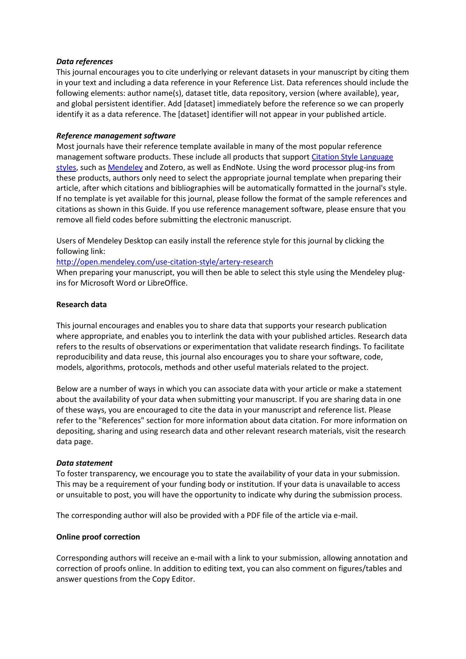### *Data references*

This journal encourages you to cite underlying or relevant datasets in your manuscript by citing them in your text and including a data reference in your Reference List. Data references should include the following elements: author name(s), dataset title, data repository, version (where available), year, and global persistent identifier. Add [dataset] immediately before the reference so we can properly identify it as a data reference. The [dataset] identifier will not appear in your published article.

## *Reference management software*

Most journals have their reference template available in many of the most popular reference management software products. These include all products that support [Citation Style Language](http://citationstyles.org/)  [styles,](http://citationstyles.org/) such a[s Mendeley](http://www.mendeley.com/features/reference-manager) and Zotero, as well as EndNote. Using the word processor plug-ins from these products, authors only need to select the appropriate journal template when preparing their article, after which citations and bibliographies will be automatically formatted in the journal's style. If no template is yet available for this journal, please follow the format of the sample references and citations as shown in this Guide. If you use reference management software, please ensure that you remove all field codes before submitting the electronic manuscript.

Users of Mendeley Desktop can easily install the reference style for this journal by clicking the following link:

<http://open.mendeley.com/use-citation-style/artery-research>

When preparing your manuscript, you will then be able to select this style using the Mendeley plugins for Microsoft Word or LibreOffice.

## **Research data**

This journal encourages and enables you to share data that supports your research publication where appropriate, and enables you to interlink the data with your published articles. Research data refers to the results of observations or experimentation that validate research findings. To facilitate reproducibility and data reuse, this journal also encourages you to share your software, code, models, algorithms, protocols, methods and other useful materials related to the project.

Below are a number of ways in which you can associate data with your article or make a statement about the availability of your data when submitting your manuscript. If you are sharing data in one of these ways, you are encouraged to cite the data in your manuscript and reference list. Please refer to the "References" section for more information about data citation. For more information on depositing, sharing and using research data and other relevant research materials, visit the research data page.

### *Data statement*

To foster transparency, we encourage you to state the availability of your data in your submission. This may be a requirement of your funding body or institution. If your data is unavailable to access or unsuitable to post, you will have the opportunity to indicate why during the submission process.

The corresponding author will also be provided with a PDF file of the article via e-mail.

# **Online proof correction**

Corresponding authors will receive an e-mail with a link to your submission, allowing annotation and correction of proofs online. In addition to editing text, you can also comment on figures/tables and answer questions from the Copy Editor.